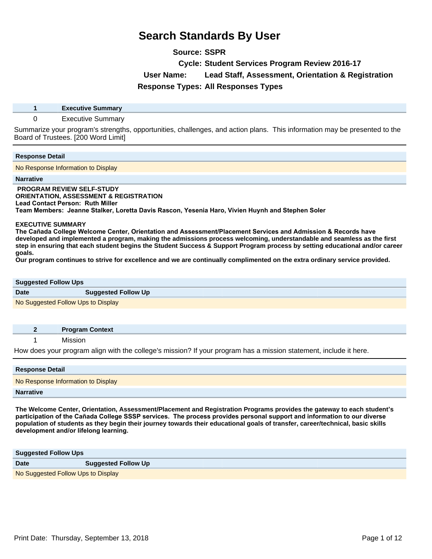**Source: SSPR**

**Cycle: Student Services Program Review 2016-17**

**User Name: Lead Staff, Assessment, Orientation & Registration**

**Response Types: All Responses Types**

**1 Executive Summary**

### 0 Executive Summary

Summarize your program's strengths, opportunities, challenges, and action plans. This information may be presented to the Board of Trustees. [200 Word Limit]

### **Response Detail**

No Response Information to Display

#### **Narrative**

 **PROGRAM REVIEW SELF-STUDY ORIENTATION, ASSESSMENT & REGISTRATION Lead Contact Person: Ruth Miller** Team Members: Jeanne Stalker, Loretta Davis Rascon, Yesenia Haro, Vivien Huynh and Stephen Soler

#### **EXECUTIVE SUMMARY**

The Cañada College Welcome Center, Orientation and Assessment/Placement Services and Admission & Records have **developed and implemented a program, making the admissions process welcoming, understandable and seamless as the first step in ensuring that each student begins the Student Success & Support Program process by setting educational and/or career goals.** 

**Our program continues to strive for excellence and we are continually complimented on the extra ordinary service provided.** 

| <b>Suggested Follow Ups</b>        |                            |
|------------------------------------|----------------------------|
| <b>Date</b>                        | <b>Suggested Follow Up</b> |
| No Suggested Follow Ups to Display |                            |

|  | <b>Program Context</b>                                                                                                  |
|--|-------------------------------------------------------------------------------------------------------------------------|
|  | <b>MISSION</b>                                                                                                          |
|  | TT: → To be a consequence of the March and also the March Consequence of the control of the consequence of the March Co |

How does your program align with the college's mission? If your program has a mission statement, include it here.

| <b>Response Detail</b>             |
|------------------------------------|
| No Response Information to Display |
| <b>Narrative</b>                   |

**The Welcome Center, Orientation, Assessment/Placement and Registration Programs provides the gateway to each student¶s**  participation of the Cañada College SSSP services. The process provides personal support and information to our diverse **population of students as they begin their journey towards their educational goals of transfer, career/technical, basic skills**  development and/or lifelong learning.

| <b>Suggested Follow Ups</b>        |                            |
|------------------------------------|----------------------------|
| <b>Date</b>                        | <b>Suggested Follow Up</b> |
| No Suggested Follow Ups to Display |                            |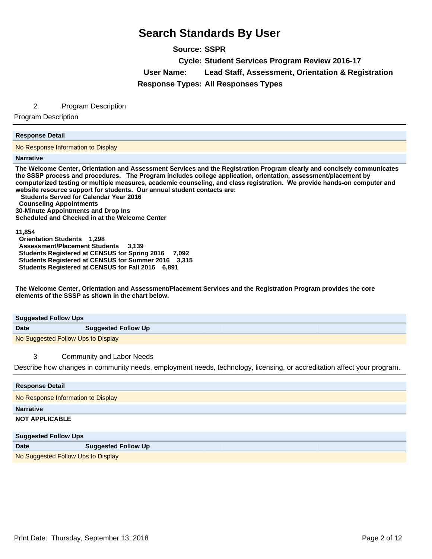**Source: SSPR**

**Cycle: Student Services Program Review 2016-17**

**User Name: Lead Staff, Assessment, Orientation & Registration**

**Response Types: All Responses Types**

### 2 Program Description

Program Description

### **Response Detail**

No Response Information to Display

#### **Narrative**

**The Welcome Center, Orientation and Assessment Services and the Registration Program clearly and concisely communicates**  the SSSP process and procedures. The Program includes college application, orientation, assessment/placement by computerized testing or multiple measures, academic counseling, and class registration. We provide hands-on computer and website resource support for students. Our annual student contacts are:

 **Students Served for Calendar Year 2016** 

 **Counseling Appointments** 

**30-Minute Appointments and Drop Ins Scheduled and Checked in at the Welcome Center** 

#### **11,854**

 **Orientation Students 1,298 Assessment/Placement Students 3,139 Students Registered at CENSUS for Spring 2016 7,092 Students Registered at CENSUS for Summer 2016 3,315 Students Registered at CENSUS for Fall 2016 6,891** 

**The Welcome Center, Orientation and Assessment/Placement Services and the Registration Program provides the core elements of the SSSP as shown in the chart below.**

| <b>Suggested Follow Ups</b>        |                            |
|------------------------------------|----------------------------|
| <b>Date</b>                        | <b>Suggested Follow Up</b> |
| No Suggested Follow Ups to Display |                            |

## 3 Community and Labor Needs

Describe how changes in community needs, employment needs, technology, licensing, or accreditation affect your program.

| <b>Response Detail</b>             |                            |
|------------------------------------|----------------------------|
| No Response Information to Display |                            |
| <b>Narrative</b>                   |                            |
| <b>NOT APPLICABLE</b>              |                            |
| <b>Suggested Follow Ups</b>        |                            |
| <b>Date</b>                        | <b>Suggested Follow Up</b> |

No Suggested Follow Ups to Display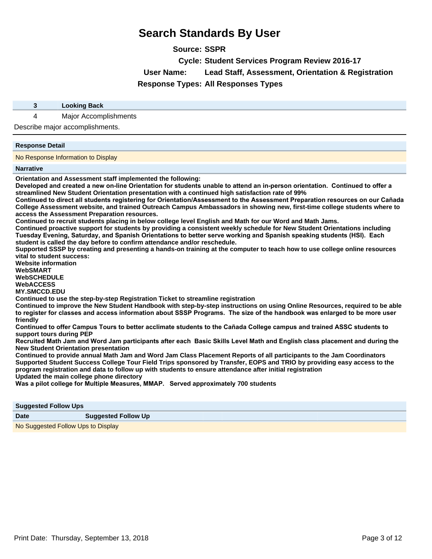**Source: SSPR**

**Cycle: Student Services Program Review 2016-17**

**User Name: Lead Staff, Assessment, Orientation & Registration**

**Response Types: All Responses Types**

**3 Looking Back**

4 Major Accomplishments

Describe major accomplishments.

#### **Response Detail**

No Response Information to Display

**Narrative**

**Orientation and Assessment staff implemented the following:**

Developed and created a new on-line Orientation for students unable to attend an in-person orientation. Continued to offer a **streamlined New Student Orientation presentation with a continued high satisfaction rate of 99%**

Continued to direct all students registering for Orientation/Assessment to the Assessment Preparation resources on our Cañada **College Assessment website, and trained Outreach Campus Ambassadors in showing new, first-time college students where to access the Assessment Preparation resources.**

**Continued to recruit students placing in below college level English and Math for our Word and Math Jams.**

**Continued proactive support for students by providing a consistent weekly schedule for New Student Orientations including**  Tuesday Evening, Saturday, and Spanish Orientations to better serve working and Spanish speaking students (HSI). Each **student is called the day before to confirm attendance and/or reschedule.**

**Supported SSSP by creating and presenting a hands-on training at the computer to teach how to use college online resources vital to student success:**

**Website information WebSMART WebSCHEDULE WebACCESS** 

**MY.SMCCD.EDU** 

**Continued to use the step-by-step Registration Ticket to streamline registration**

**Continued to improve the New Student Handbook with step-by-step instructions on using Online Resources, required to be able**  to register for classes and access information about SSSP Programs. The size of the handbook was enlarged to be more user **friendly**

Continued to offer Campus Tours to better acclimate students to the Cañada College campus and trained ASSC students to **support tours during PEP**

Recruited Math Jam and Word Jam participants after each Basic Skills Level Math and English class placement and during the **New Student Orientation presentation**

**Continued to provide annual Math Jam and Word Jam Class Placement Reports of all participants to the Jam Coordinators Supported Student Success College Tour Field Trips sponsored by Transfer, EOPS and TRIO by providing easy access to the program registration and data to follow up with students to ensure attendance after initial registration Updated the main college phone directory**

**Was a pilot college for Multiple Measures, MMAP. Served approximately 700 students** 

| <b>Suggested Follow Ups</b>        |                            |
|------------------------------------|----------------------------|
| <b>Date</b>                        | <b>Suggested Follow Up</b> |
| No Suggested Follow Ups to Display |                            |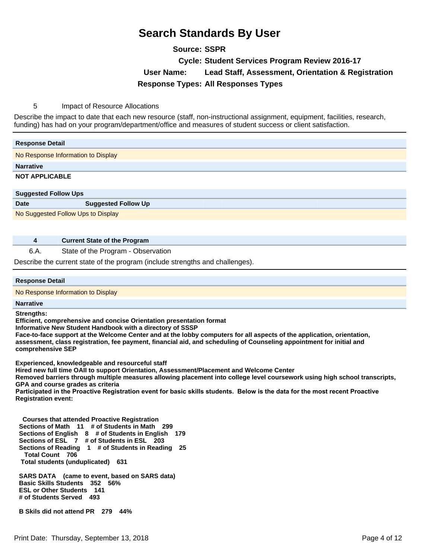**Source: SSPR**

**Cycle: Student Services Program Review 2016-17**

**User Name: Lead Staff, Assessment, Orientation & Registration**

**Response Types: All Responses Types**

5 Impact of Resource Allocations

Describe the impact to date that each new resource (staff, non-instructional assignment, equipment, facilities, research, funding) has had on your program/department/office and measures of student success or client satisfaction.

| <b>Response Detail</b>             |                            |  |
|------------------------------------|----------------------------|--|
| No Response Information to Display |                            |  |
| <b>Narrative</b>                   |                            |  |
| <b>NOT APPLICABLE</b>              |                            |  |
|                                    |                            |  |
|                                    |                            |  |
| <b>Suggested Follow Ups</b>        |                            |  |
| <b>Date</b>                        | <b>Suggested Follow Up</b> |  |
| No Suggested Follow Ups to Display |                            |  |
|                                    |                            |  |

**4 Current State of the Program**

6.A. State of the Program - Observation Describe the current state of the program (include strengths and challenges).

## **Response Detail**

No Response Information to Display

## **Narrative Strengths:**

**Efficient, comprehensive and concise Orientation presentation format**

**Informative New Student Handbook with a directory of SSSP**

**Face-to-face support at the Welcome Center and at the lobby computers for all aspects of the application, orientation, assessment, class registration, fee payment, financial aid, and scheduling of Counseling appointment for initial and comprehensive SEP**

**Experienced, knowledgeable and resourceful staff**

**Hired new full time OAII to support Orientation, Assessment/Placement and Welcome Center** 

**Removed barriers through multiple measures allowing placement into college level coursework using high school transcripts, GPA and course grades as criteria**

Participated in the Proactive Registration event for basic skills students. Below is the data for the most recent Proactive **Registration event:**

 **Courses that attended Proactive Registration Sections of Math 11 # of Students in Math 299 Sections of English 8 # of Students in English 179 Sections of ESL 7 # of Students in ESL 203 Sections of Reading 1 # of Students in Reading 25 Total Count 706 Total students (unduplicated) 631** 

 **SARS DATA (came to event, based on SARS data) Basic Skills Students 352 56% ESL or Other Students 141 # of Students Served 493** 

 **B Skils did not attend PR 279 44%**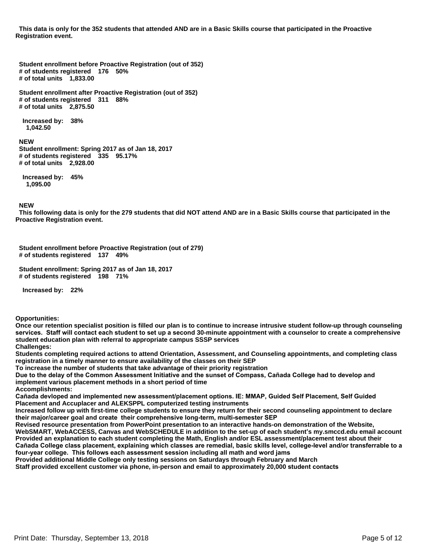**This data is only for the 352 students that attended AND are in a Basic Skills course that participated in the Proactive Registration event.** 

 **Student enrollment before Proactive Registration (out of 352) # of students registered 176 50% # of total units 1,833.00** 

 **Student enrollment after Proactive Registration (out of 352) # of students registered 311 88% # of total units 2,875.50** 

 **Increased by: 38% 1,042.50** 

#### **NEW**

 **Student enrollment: Spring 2017 as of Jan 18, 2017 # of students registered 335 95.17% # of total units 2,928.00** 

 **Increased by: 45% 1,095.00** 

#### **NEW**

 **This following data is only for the 279 students that did NOT attend AND are in a Basic Skills course that participated in the Proactive Registration event.** 

 **Student enrollment before Proactive Registration (out of 279) # of students registered 137 49%** 

 **Student enrollment: Spring 2017 as of Jan 18, 2017 # of students registered 198 71%** 

 **Increased by: 22%** 

**Opportunities:**

**Once our retention specialist position is filled our plan is to continue to increase intrusive student follow-up through counseling**  services. Staff will contact each student to set up a second 30-minute appointment with a counselor to create a comprehensive **student education plan with referral to appropriate campus SSSP services Challenges:**

**Students completing required actions to attend Orientation, Assessment, and Counseling appointments, and completing class registration in a timely manner to ensure availability of the classes on their SEP**

**To increase the number of students that take advantage of their priority registration** 

Due to the delay of the Common Assessment Initiative and the sunset of Compass, Cañada College had to develop and **implement various placement methods in a short period of time**

**Accomplishments:**

Cañada devloped and implemented new assessment/placement options. IE: MMAP, Guided Self Placement, Self Guided **Placement and Accuplacer and ALEKSPPL computerized testing instruments** 

**Increased follow up with first-time college students to ensure they return for their second counseling appointment to declare**  their maior/career goal and create their comprehensive long-term, multi-semester SEP

**Revised resource presentation from PowerPoint presentation to an interactive hands-on demonstration of the Website,** 

**WebSMART, WebACCESS, Canvas and WebSCHEDULE in addition to the set-up of each student¶s my.smccd.edu email account Provided an explanation to each student completing the Math, English and/or ESL assessment/placement test about their**  Cañada College class placement, explaining which classes are remedial, basic skills level, college-level and/or transferrable to a four-year college. This follows each assessment session including all math and word jams

**Provided additional Middle College only testing sessions on Saturdays through February and March** 

**Staff provided excellent customer via phone, in-person and email to approximately 20,000 student contacts**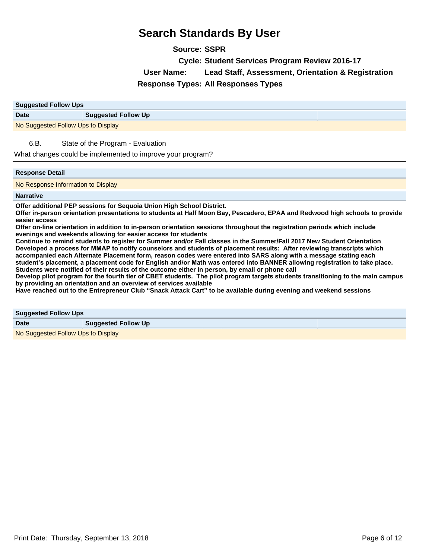**Source: SSPR**

**Cycle: Student Services Program Review 2016-17**

**User Name: Lead Staff, Assessment, Orientation & Registration**

**Response Types: All Responses Types**

| <b>Suggested Follow Ups</b>        |                            |
|------------------------------------|----------------------------|
| <b>Date</b>                        | <b>Suggested Follow Up</b> |
| No Suggested Follow Ups to Display |                            |

6.B. State of the Program - Evaluation

What changes could be implemented to improve your program?

### **Response Detail**

No Response Information to Display

#### **Narrative**

**Offer additional PEP sessions for Sequoia Union High School District.**

**Offer in-person orientation presentations to students at Half Moon Bay, Pescadero, EPAA and Redwood high schools to provide easier access**

**Offer on-line orientation in addition to in-person orientation sessions throughout the registration periods which include evenings and weekends allowing for easier access for students**

**Continue to remind students to register for Summer and/or Fall classes in the Summer/Fall 2017 New Student Orientation**  Developed a process for MMAP to notify counselors and students of placement results: After reviewing transcripts which **accompanied each Alternate Placement form, reason codes were entered into SARS along with a message stating each**  student's placement, a placement code for English and/or Math was entered into BANNER allowing registration to take place. **Students were notified of their results of the outcome either in person, by email or phone call**

Develop pilot program for the fourth tier of CBET students. The pilot program targets students transitioning to the main campus **by providing an orientation and an overview of services available**

**Have reached out to the Entrepreneur Club ³Snack Attack Cart´to be available during evening and weekend sessions**

**Suggested Follow Ups**

**Date Suggested Follow Up** 

No Suggested Follow Ups to Display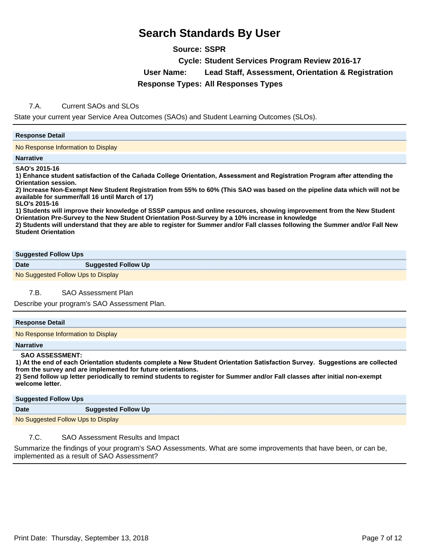# **Source: SSPR**

**Cycle: Student Services Program Review 2016-17**

**User Name: Lead Staff, Assessment, Orientation & Registration**

**Response Types: All Responses Types**

## 7.A. Current SAOs and SLOs

State your current year Service Area Outcomes (SAOs) and Student Learning Outcomes (SLOs).

### **Response Detail**

No Response Information to Display

#### **Narrative**

**SAO's 2015-16**

1) Enhance student satisfaction of the Cañada College Orientation, Assessment and Registration Program after attending the **Orientation session.**

**2) Increase Non-Exempt New Student Registration from 55% to 60% (This SAO was based on the pipeline data which will not be available for summer/fall 16 until March of 17)**

**SLO's 2015-16**

**1) Students will improve their knowledge of SSSP campus and online resources, showing improvement from the New Student Orientation Pre-Survey to the New Student Orientation Post-Survey by a 10% increase in knowledge**

**2) Students will understand that they are able to register for Summer and/or Fall classes following the Summer and/or Fall New Student Orientation** 

#### **Suggested Follow Ups**

**Date Suggested Follow Up** 

No Suggested Follow Ups to Display

7.B. SAO Assessment Plan

Describe your program's SAO Assessment Plan.

### **Response Detail**

No Response Information to Display

#### **Narrative**

### **SAO ASSESSMENT:**

1) At the end of each Orientation students complete a New Student Orientation Satisfaction Survey. Suggestions are collected **from the survey and are implemented for future orientations.**

**2) Send follow up letter periodically to remind students to register for Summer and/or Fall classes after initial non-exempt**  welcome letter.

| <b>Suggested Follow Ups</b>        |                            |
|------------------------------------|----------------------------|
| <b>Date</b>                        | <b>Suggested Follow Up</b> |
| No Suggested Follow Ups to Display |                            |

# 7.C. SAO Assessment Results and Impact

Summarize the findings of your program's SAO Assessments. What are some improvements that have been, or can be, implemented as a result of SAO Assessment?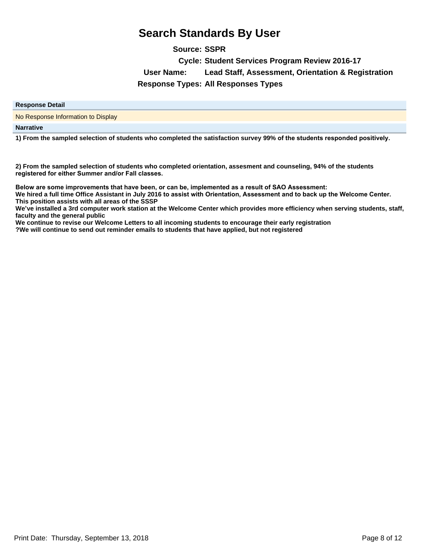**Source: SSPR**

**Cycle: Student Services Program Review 2016-17**

**User Name: Lead Staff, Assessment, Orientation & Registration**

**Response Types: All Responses Types**

| <b>Response Detail</b> |  |
|------------------------|--|
|                        |  |

No Response Information to Display

**Narrative**

1) From the sampled selection of students who completed the satisfaction survey 99% of the students responded positively.

**2) From the sampled selection of students who completed orientation, assesment and counseling, 94% of the students**  registered for either Summer and/or Fall classes.

Below are some improvements that have been, or can be, implemented as a result of SAO Assessment:

We hired a full time Office Assistant in July 2016 to assist with Orientation, Assessment and to back up the Welcome Center. **This position assists with all areas of the SSSP**

We've installed a 3rd computer work station at the Welcome Center which provides more efficiency when serving students, staff, **faculty and the general public**

**We continue to revise our Welcome Letters to all incoming students to encourage their early registration**

**?We will continue to send out reminder emails to students that have applied, but not registered**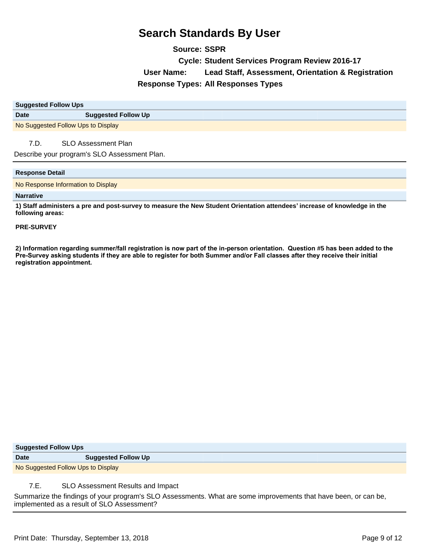**Source: SSPR Cycle: Student Services Program Review 2016-17 User Name: Lead Staff, Assessment, Orientation & Registration Response Types: All Responses Types**

| <b>Suggested Follow Ups</b>        |                            |
|------------------------------------|----------------------------|
| <b>Date</b>                        | <b>Suggested Follow Up</b> |
| No Suggested Follow Ups to Display |                            |

## 7.D. SLO Assessment Plan

Describe your program's SLO Assessment Plan.

#### **Response Detail**

No Response Information to Display

#### **Narrative**

**1) Staff administers a pre and post-survey to measure the New Student Orientation attendees¶increase of knowledge in the following areas:**

#### **PRE-SURVEY**

2) Information regarding summer/fall registration is now part of the in-person orientation. Question #5 has been added to the Pre-Survey asking students if they are able to register for both Summer and/or Fall classes after they receive their initial registration appointment.

| <b>Suggested Follow Ups</b>        |                            |
|------------------------------------|----------------------------|
| <b>Date</b>                        | <b>Suggested Follow Up</b> |
| No Suggested Follow Ups to Display |                            |
|                                    |                            |

# 7.E. SLO Assessment Results and Impact

Summarize the findings of your program's SLO Assessments. What are some improvements that have been, or can be, implemented as a result of SLO Assessment?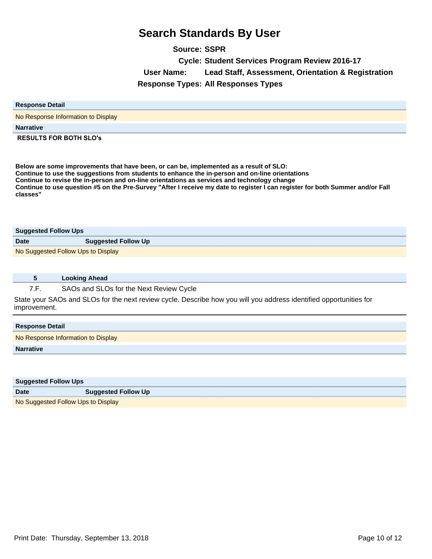**Source: SSPR Cycle: Student Services Program Review 2016-17 User Name: Lead Staff, Assessment, Orientation & Registration Response Types: All Responses Types**

| <b>Response Detail</b>             |
|------------------------------------|
| No Response Information to Display |
| <b>Narrative</b>                   |
| <b>RESULTS FOR BOTH SLO's</b>      |

**Below are some improvements that have been, or can be, implemented as a result of SLO: Continue to use the suggestions from students to enhance the in-person and on-line orientations Continue to revise the in-person and on-line orientations as services and technology change Continue to use question #5 on the Pre-Survey "After I receive my date to register I can register for both Summer and/or Fall classes"** 

| <b>Suggested Follow Ups</b>        |                            |
|------------------------------------|----------------------------|
| <b>Date</b>                        | <b>Suggested Follow Up</b> |
| No Suggested Follow Ups to Display |                            |

|       | <b>Looking Ahead</b>                                                                                                                                                                                |  |
|-------|-----------------------------------------------------------------------------------------------------------------------------------------------------------------------------------------------------|--|
| $- -$ | $\mathsf{A}\mathsf{A}\mathsf{A}$ . In $\mathsf{A}\mathsf{A}\mathsf{A}$ , $\mathsf{A}\mathsf{A}$ , $\mathsf{A}\mathsf{B}$ , $\mathsf{A}\mathsf{B}$ , $\mathsf{A}\mathsf{B}$ , $\mathsf{A}\mathsf{B}$ |  |

7.F. SAOs and SLOs for the Next Review Cycle

State your SAOs and SLOs for the next review cycle. Describe how you will you address identified opportunities for improvement.

| No Response Information to Display | <b>Response Detail</b> |  |
|------------------------------------|------------------------|--|
|                                    |                        |  |
| <b>Narrative</b>                   |                        |  |

| <b>Suggested Follow Ups</b>        |                            |
|------------------------------------|----------------------------|
| <b>Date</b>                        | <b>Suggested Follow Up</b> |
| No Suggested Follow Ups to Display |                            |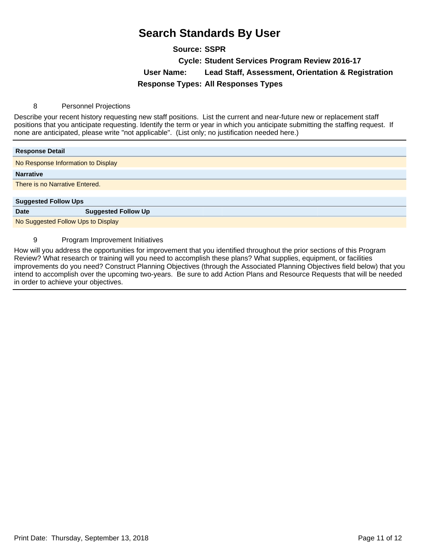# **Source: SSPR**

**Cycle: Student Services Program Review 2016-17**

**User Name: Lead Staff, Assessment, Orientation & Registration**

**Response Types: All Responses Types**

### 8 Personnel Projections

Describe your recent history requesting new staff positions. List the current and near-future new or replacement staff positions that you anticipate requesting. Identify the term or year in which you anticipate submitting the staffing request. If none are anticipated, please write "not applicable". (List only; no justification needed here.)

| <b>Response Detail</b>             |                                    |  |
|------------------------------------|------------------------------------|--|
|                                    | No Response Information to Display |  |
| <b>Narrative</b>                   |                                    |  |
| There is no Narrative Entered.     |                                    |  |
|                                    |                                    |  |
| <b>Suggested Follow Ups</b>        |                                    |  |
| <b>Date</b>                        | <b>Suggested Follow Up</b>         |  |
| No Suggested Follow Ups to Display |                                    |  |

### 9 Program Improvement Initiatives

How will you address the opportunities for improvement that you identified throughout the prior sections of this Program Review? What research or training will you need to accomplish these plans? What supplies, equipment, or facilities improvements do you need? Construct Planning Objectives (through the Associated Planning Objectives field below) that you intend to accomplish over the upcoming two-years. Be sure to add Action Plans and Resource Requests that will be needed in order to achieve your objectives.